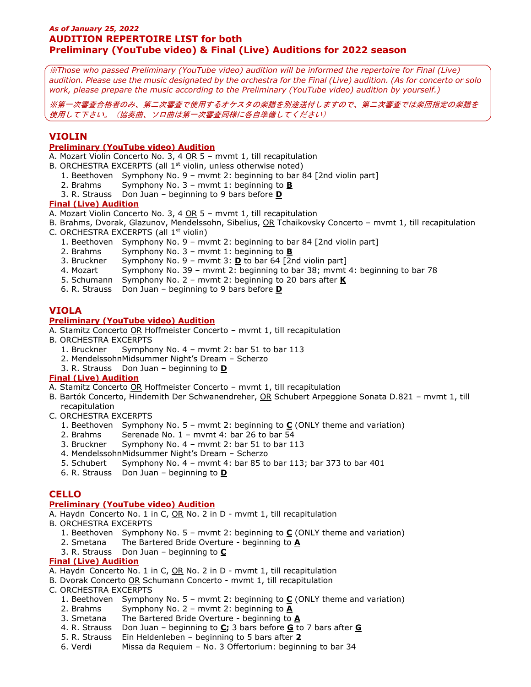## *As of January 25, 2022* **AUDITION REPERTOIRE LIST for both Preliminary (YouTube video) & Final (Live) Auditions for 2022 season**

※*Those who passed Preliminary (YouTube video) audition will be informed the repertoire for Final (Live) audition. Please use the music designated by the orchestra for the Final (Live) audition. (As for concerto or solo work, please prepare the music according to the Preliminary (YouTube video) audition by yourself.)*

※第一次審査合格者のみ、第二次審査で使用するオケスタの楽譜を別途送付しますので、第二次審査では楽団指定の楽譜を 使用して下さい。(協奏曲、ソロ曲は第一次審査同様に各自準備してください)

## **VIOLIN**

## **Preliminary (YouTube video) Audition**

A. Mozart Violin Concerto No. 3, 4 OR 5 - mvmt 1, till recapitulation

- B. ORCHESTRA EXCERPTS (all 1<sup>st</sup> violin, unless otherwise noted)
	- 1. Beethoven Symphony No. 9 mvmt 2: beginning to bar 84 [2nd violin part]
	- 2. Brahms Symphony No. 3 mvmt 1: beginning to **B**
	- 3. R. Strauss Don Juan beginning to 9 bars before **D**

#### **Final (Live) Audition**

- A. Mozart Violin Concerto No. 3, 4 OR 5 mvmt 1, till recapitulation
- B. Brahms, Dvorak, Glazunov, Mendelssohn, Sibelius, OR Tchaikovsky Concerto mvmt 1, till recapitulation C. ORCHESTRA EXCERPTS (all 1<sup>st</sup> violin)
	- 1. Beethoven Symphony No. 9 mvmt 2: beginning to bar 84 [2nd violin part]
	- 2. Brahms Symphony No. 3 mvmt 1: beginning to **B**
	- 3. Bruckner Symphony No. 9 mvmt 3: **D** to bar 64 [2nd violin part]
	- 4. Mozart Symphony No. 39 mvmt 2: beginning to bar 38; mvmt 4: beginning to bar 78
	- 5. Schumann Symphony No. 2 mvmt 2: beginning to 20 bars after **K**
	- 6. R. Strauss Don Juan beginning to 9 bars before **D**

## **VIOLA**

## **Preliminary (YouTube video) Audition**

A. Stamitz Concerto OR Hoffmeister Concerto – mvmt 1, till recapitulation

- B. ORCHESTRA EXCERPTS
	- 1. Bruckner Symphony No. 4 mvmt 2: bar 51 to bar 113
	- 2. MendelssohnMidsummer Night's Dream Scherzo
	- 3. R. Strauss Don Juan beginning to **D**

### **Final (Live) Audition**

- A. Stamitz Concerto OR Hoffmeister Concerto mvmt 1, till recapitulation
- B. Bartók Concerto, Hindemith Der Schwanendreher, OR Schubert Arpeggione Sonata D.821 mvmt 1, till recapitulation
- C. ORCHESTRA EXCERPTS
	- 1. Beethoven Symphony No. 5 mvmt 2: beginning to **C** (ONLY theme and variation)
	- 2. Brahms Serenade No. 1 mvmt 4: bar 26 to bar 54
	- 3. Bruckner Symphony No. 4 mvmt 2: bar 51 to bar 113
	- 4. MendelssohnMidsummer Night's Dream Scherzo
	- 5. Schubert Symphony No. 4 mvmt 4: bar 85 to bar 113; bar 373 to bar 401
	- 6. R. Strauss Don Juan beginning to **D**

### **CELLO**

#### **Preliminary (YouTube video) Audition**

A. Haydn Concerto No. 1 in C, OR No. 2 in D - mvmt 1, till recapitulation

- B. ORCHESTRA EXCERPTS
	- 1. Beethoven Symphony No. 5 mvmt 2: beginning to **C** (ONLY theme and variation)
	- 2. Smetana The Bartered Bride Overture beginning to **A**
	- 3. R. Strauss Don Juan beginning to **C**

### **Final (Live) Audition**

- A. Haydn Concerto No. 1 in C, OR No. 2 in D mvmt 1, till recapitulation
- B. Dvorak Concerto OR Schumann Concerto mvmt 1, till recapitulation

C. ORCHESTRA EXCERPTS

- 1. Beethoven Symphony No. 5 mvmt 2: beginning to **C** (ONLY theme and variation)
- 2. Brahms Symphony No. 2 mvmt 2: beginning to **A**
- 3. Smetana The Bartered Bride Overture beginning to **A**
- 4. R. Strauss Don Juan beginning to **C;** 3 bars before **G** to 7 bars after **G**
- 5. R. Strauss Ein Heldenleben beginning to 5 bars after **2**
- 6. Verdi Missa da Requiem No. 3 Offertorium: beginning to bar 34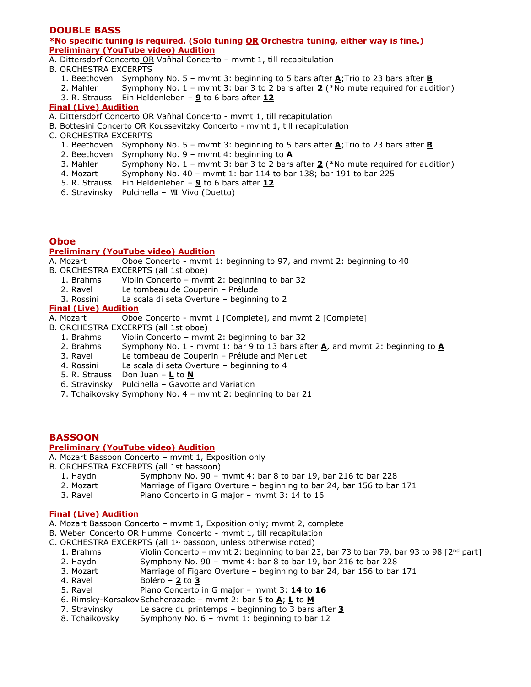## **DOUBLE BASS**

#### **\*No specific tuning is required. (Solo tuning OR Orchestra tuning, either way is fine.) Preliminary (YouTube video) Audition**

- A. Dittersdorf Concerto OR Vaňhal Concerto mvmt 1, till recapitulation
- B. ORCHESTRA EXCERPTS
	- 1. Beethoven Symphony No. 5 mvmt 3: beginning to 5 bars after **A**;Trio to 23 bars after **B**
	- 2. Mahler Symphony No. 1 mvmt 3: bar 3 to 2 bars after **2** (\*No mute required for audition)
	- 3. R. Strauss Ein Heldenleben **9** to 6 bars after **12**

#### **Final (Live) Audition**

- A. Dittersdorf Concerto OR Vaňhal Concerto mvmt 1, till recapitulation
- B. Bottesini Concerto OR Koussevitzky Concerto mvmt 1, till recapitulation
- C. ORCHESTRA EXCERPTS
	- 1. Beethoven Symphony No. 5 mvmt 3: beginning to 5 bars after **A**;Trio to 23 bars after **B**
	- 2. Beethoven Symphony No. 9 mvmt 4: beginning to **A**
	- 3. Mahler Symphony No. 1 mvmt 3: bar 3 to 2 bars after **2** (\*No mute required for audition)
	- 4. Mozart Symphony No. 40 mvmt 1: bar 114 to bar 138; bar 191 to bar 225
	- 5. R. Strauss Ein Heldenleben **9** to 6 bars after **12**
	- 6. Stravinsky Pulcinella Ⅶ Vivo (Duetto)

## **Oboe**

#### **Preliminary (YouTube video) Audition**

A. Mozart Oboe Concerto - mvmt 1: beginning to 97, and mvmt 2: beginning to 40

- B. ORCHESTRA EXCERPTS (all 1st oboe)
	- 1. Brahms Violin Concerto mvmt 2: beginning to bar 32
	- 2. Ravel Le tombeau de Couperin Prélude
	- 3. Rossini La scala di seta Overture beginning to 2

#### **Final (Live) Audition**

- A. Mozart Oboe Concerto mvmt 1 [Complete], and mvmt 2 [Complete]
- B. ORCHESTRA EXCERPTS (all 1st oboe)
	- 1. Brahms Violin Concerto mvmt 2: beginning to bar 32
	- 2. Brahms Symphony No. 1 mvmt 1: bar 9 to 13 bars after **A**, and mvmt 2: beginning to **A**
	- 3. Ravel Le tombeau de Couperin Prélude and Menuet
	- 4. Rossini La scala di seta Overture beginning to 4
	- 5. R. Strauss Don Juan **L** to **N**
	- 6. Stravinsky Pulcinella Gavotte and Variation
	- 7. Tchaikovsky Symphony No. 4 mvmt 2: beginning to bar 21

## **BASSOON**

## **Preliminary (YouTube video) Audition**

- A. Mozart Bassoon Concerto mvmt 1, Exposition only
- B. ORCHESTRA EXCERPTS (all 1st bassoon)
	- 1. Haydn Symphony No. 90 mvmt 4: bar 8 to bar 19, bar 216 to bar 228
	- 2. Mozart Marriage of Figaro Overture beginning to bar 24, bar 156 to bar 171
	- 3. Ravel Piano Concerto in G major mvmt 3: 14 to 16

#### **Final (Live) Audition**

- A. Mozart Bassoon Concerto mvmt 1, Exposition only; mvmt 2, complete
- B. Weber Concerto OR Hummel Concerto mvmt 1, till recapitulation
- C. ORCHESTRA EXCERPTS (all 1st bassoon, unless otherwise noted)
	- 1. Brahms Violin Concerto mvmt 2: beginning to bar 23, bar 73 to bar 79, bar 93 to 98  $[2^{nd}$  part]
	- 2. Haydn Symphony No. 90 mvmt 4: bar 8 to bar 19, bar 216 to bar 228
	- 3. Mozart Marriage of Figaro Overture beginning to bar 24, bar 156 to bar 171
	- 4. Ravel Boléro **2** to **3**
	- 5. Ravel Piano Concerto in G major mvmt 3: **14** to **16**
	- 6. Rimsky-KorsakovScheherazade mvmt 2: bar 5 to **A**; **L** to **M**
	- 7. Stravinsky Le sacre du printemps beginning to 3 bars after **3**
	- 8. Tchaikovsky Symphony No. 6 mvmt 1: beginning to bar 12